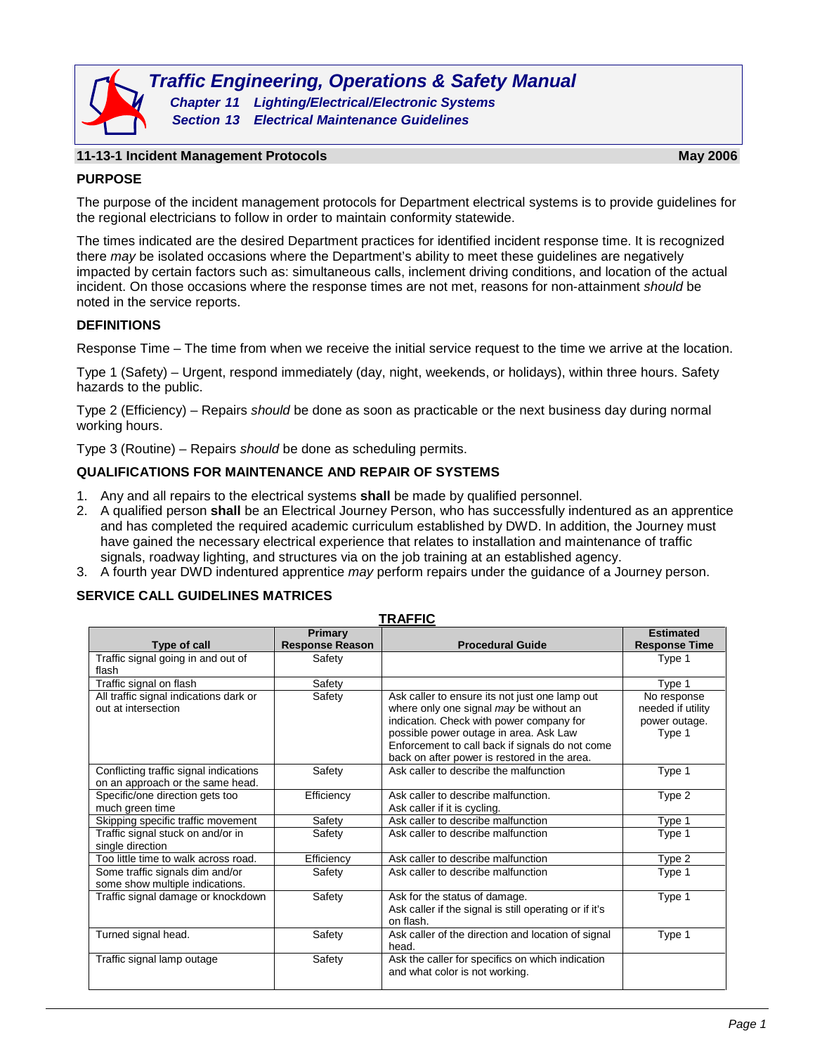

#### **11-13-1 Incident Management Protocols May 2006**

### **PURPOSE**

The purpose of the incident management protocols for Department electrical systems is to provide guidelines for the regional electricians to follow in order to maintain conformity statewide.

The times indicated are the desired Department practices for identified incident response time. It is recognized there *may* be isolated occasions where the Department's ability to meet these guidelines are negatively impacted by certain factors such as: simultaneous calls, inclement driving conditions, and location of the actual incident. On those occasions where the response times are not met, reasons for non-attainment *should* be noted in the service reports.

#### **DEFINITIONS**

Response Time – The time from when we receive the initial service request to the time we arrive at the location.

Type 1 (Safety) – Urgent, respond immediately (day, night, weekends, or holidays), within three hours. Safety hazards to the public.

Type 2 (Efficiency) – Repairs *should* be done as soon as practicable or the next business day during normal working hours.

Type 3 (Routine) – Repairs *should* be done as scheduling permits.

#### **QUALIFICATIONS FOR MAINTENANCE AND REPAIR OF SYSTEMS**

- 1. Any and all repairs to the electrical systems **shall** be made by qualified personnel.
- 2. A qualified person **shall** be an Electrical Journey Person, who has successfully indentured as an apprentice and has completed the required academic curriculum established by DWD. In addition, the Journey must have gained the necessary electrical experience that relates to installation and maintenance of traffic signals, roadway lighting, and structures via on the job training at an established agency.
- 3. A fourth year DWD indentured apprentice *may* perform repairs under the guidance of a Journey person.

#### **SERVICE CALL GUIDELINES MATRICES**

| TRAFFIC                                                                    |                                   |                                                                                                                                                                                                                                                                                    |                                                             |
|----------------------------------------------------------------------------|-----------------------------------|------------------------------------------------------------------------------------------------------------------------------------------------------------------------------------------------------------------------------------------------------------------------------------|-------------------------------------------------------------|
| Type of call                                                               | Primary<br><b>Response Reason</b> | <b>Procedural Guide</b>                                                                                                                                                                                                                                                            | <b>Estimated</b><br><b>Response Time</b>                    |
| Traffic signal going in and out of<br>flash                                | Safety                            |                                                                                                                                                                                                                                                                                    | Type 1                                                      |
| Traffic signal on flash                                                    | Safety                            |                                                                                                                                                                                                                                                                                    | Type 1                                                      |
| All traffic signal indications dark or<br>out at intersection              | Safety                            | Ask caller to ensure its not just one lamp out<br>where only one signal may be without an<br>indication. Check with power company for<br>possible power outage in area. Ask Law<br>Enforcement to call back if signals do not come<br>back on after power is restored in the area. | No response<br>needed if utility<br>power outage.<br>Type 1 |
| Conflicting traffic signal indications<br>on an approach or the same head. | Safety                            | Ask caller to describe the malfunction                                                                                                                                                                                                                                             | Type 1                                                      |
| Specific/one direction gets too<br>much green time                         | Efficiency                        | Ask caller to describe malfunction.<br>Ask caller if it is cycling.                                                                                                                                                                                                                | Type 2                                                      |
| Skipping specific traffic movement                                         | Safety                            | Ask caller to describe malfunction                                                                                                                                                                                                                                                 | Type 1                                                      |
| Traffic signal stuck on and/or in<br>single direction                      | Safety                            | Ask caller to describe malfunction                                                                                                                                                                                                                                                 | Type 1                                                      |
| Too little time to walk across road.                                       | Efficiency                        | Ask caller to describe malfunction                                                                                                                                                                                                                                                 | Type 2                                                      |
| Some traffic signals dim and/or<br>some show multiple indications.         | Safety                            | Ask caller to describe malfunction                                                                                                                                                                                                                                                 | Type 1                                                      |
| Traffic signal damage or knockdown                                         | Safety                            | Ask for the status of damage.<br>Ask caller if the signal is still operating or if it's<br>on flash.                                                                                                                                                                               | Type 1                                                      |
| Turned signal head.                                                        | Safety                            | Ask caller of the direction and location of signal<br>head.                                                                                                                                                                                                                        | Type 1                                                      |
| Traffic signal lamp outage                                                 | Safety                            | Ask the caller for specifics on which indication<br>and what color is not working.                                                                                                                                                                                                 |                                                             |